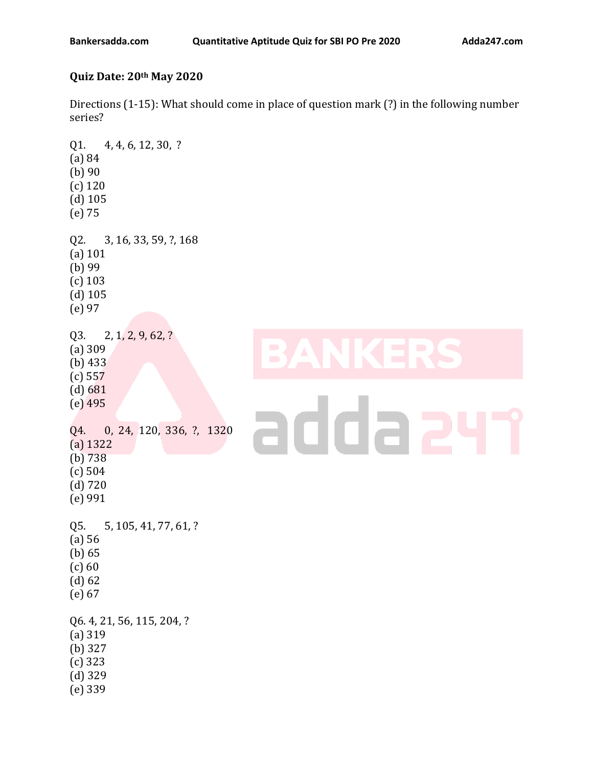## **Quiz Date: 20th May 2020**

Directions (1-15): What should come in place of question mark (?) in the following number series?

Q1. 4, 4, 6, 12, 30, ? (a) 84 (b) 90 (c) 120 (d) 105 (e) 75 Q2. 3, 16, 33, 59, ?, 168 (a) 101 (b) 99 (c) 103 (d) 105 (e) 97 Q3. 2, 1, 2, 9, 62, ? (a) 309 (b) 433 (c) 557 (d) 681 (e) 495 adda 2 Q4. 0, 24, 120, 336, ?, 1320 (a) 1322 (b) 738 (c) 504 (d) 720 (e) 991 Q5. 5, 105, 41, 77, 61, ? (a) 56 (b) 65  $(c) 60$ (d) 62 (e) 67 Q6. 4, 21, 56, 115, 204, ? (a) 319 (b) 327 (c) 323 (d) 329 (e) 339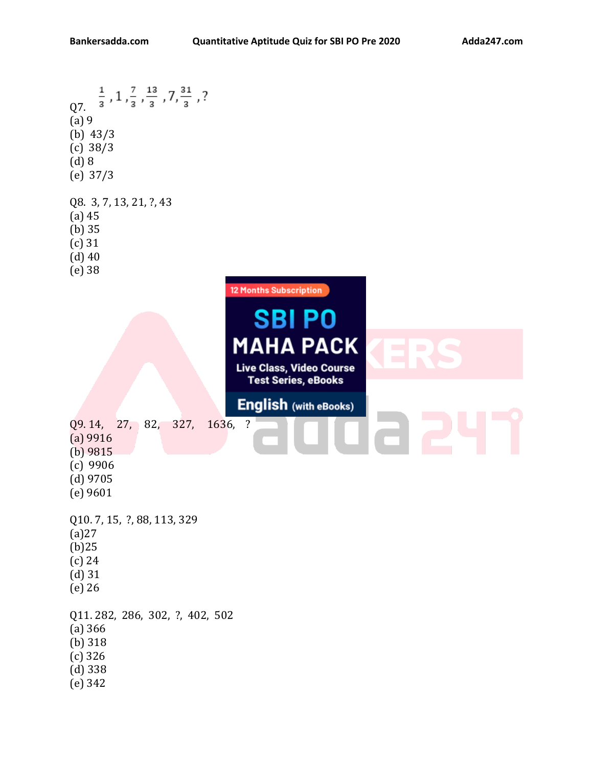$\frac{1}{3}$  , 1 ,  $\frac{7}{3}$  ,  $\frac{13}{3}$  , 7,  $\frac{31}{3}$  , ? Q7. (a) 9 (b) 43/3 (c) 38/3 (d) 8 (e) 37/3 Q8. 3, 7, 13, 21, ?, 43 (a) 45 (b) 35 (c) 31 (d) 40 (e) 38 **12 Months Subscription SBI PO MAHA PACK** Live Class, Video Course **Test Series, eBooks English (with eBooks)** Q9. 14, 27, 82, 327, 1636, ? (a) 9916 (b) 9815 (c) 9906 (d) 9705 (e) 9601 Q10. 7, 15, ?, 88, 113, 329 (a)27 (b)25 (c) 24 (d) 31 (e) 26 Q11. 282, 286, 302, ?, 402, 502 (a) 366 (b) 318 (c) 326 (d) 338 (e) 342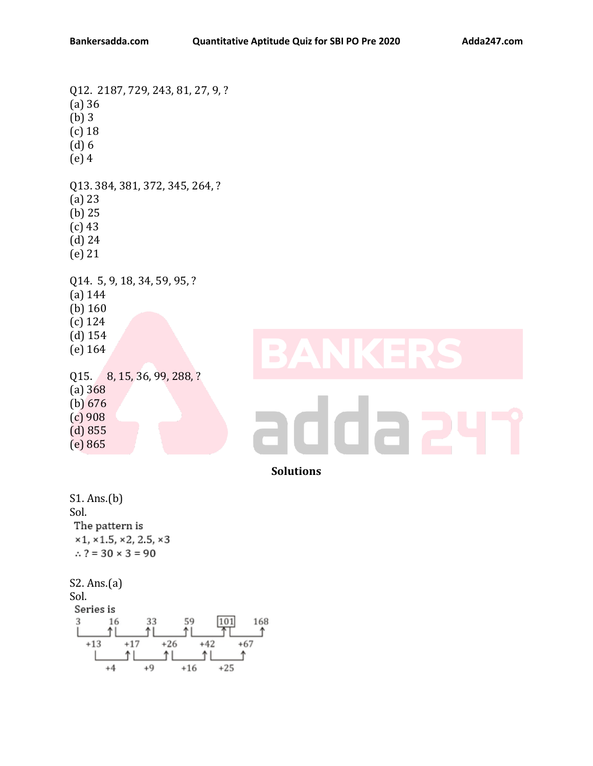Q12. 2187, 729, 243, 81, 27, 9, ? (a) 36 (b) 3 (c) 18 (d) 6 (e) 4 Q13. 384, 381, 372, 345, 264, ? (a) 23 (b) 25 (c) 43 (d) 24 (e) 21 Q14. 5, 9, 18, 34, 59, 95, ? (a) 144 (b) 160 (c) 124 (d) 154 (e) 164 Q15. 8, 15, 36, 99, 288, ? (a) 368 (b) 676 (c) 908 12 (d) 855 (e) 865 **Solutions** S1. Ans.(b)

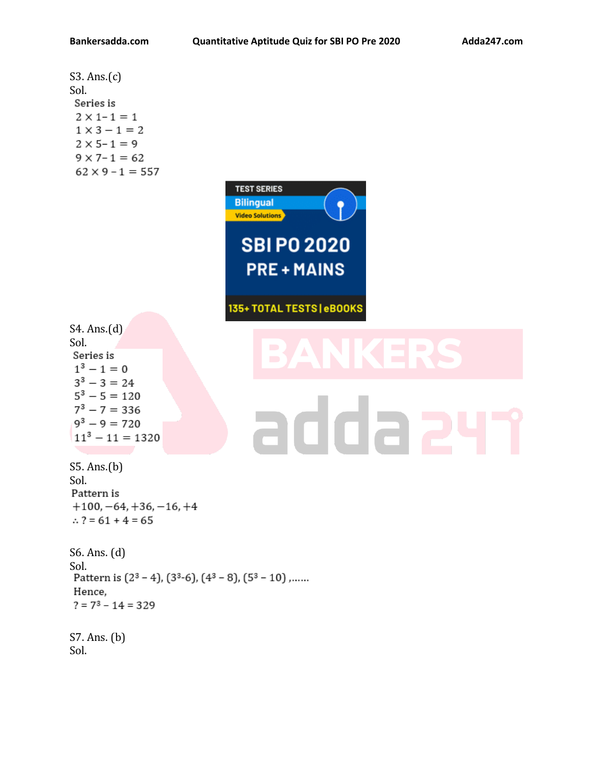S3. Ans.(c) Sol. Series is  $2 \times 1 - 1 = 1$  $1 \times 3 - 1 = 2$  $2 \times 5 - 1 = 9$  $9 \times 7 - 1 = 62$  $62 \times 9 - 1 = 557$ 



135+ TOTAL TESTS | eBOOKS

S4. Ans.(d) Sol. Series is  $1^3 - 1 = 0$  $3^3 - 3 = 24$  $5^3 - 5 = 120$  $7^3 - 7 = 336$  $9^3 - 9 = 720$  $11^3 - 11 = 1320$ 

## adda 2

S5. Ans.(b) Sol. Pattern is  $+100, -64, +36, -16, +4$  $\therefore$  ? = 61 + 4 = 65

S6. Ans. (d) Sol.<br>Pattern is  $(2^3 - 4)$ ,  $(3^3-6)$ ,  $(4^3 - 8)$ ,  $(5^3 - 10)$ ,...... Hence.  $? = 7<sup>3</sup> - 14 = 329$ 

S7. Ans. (b) Sol.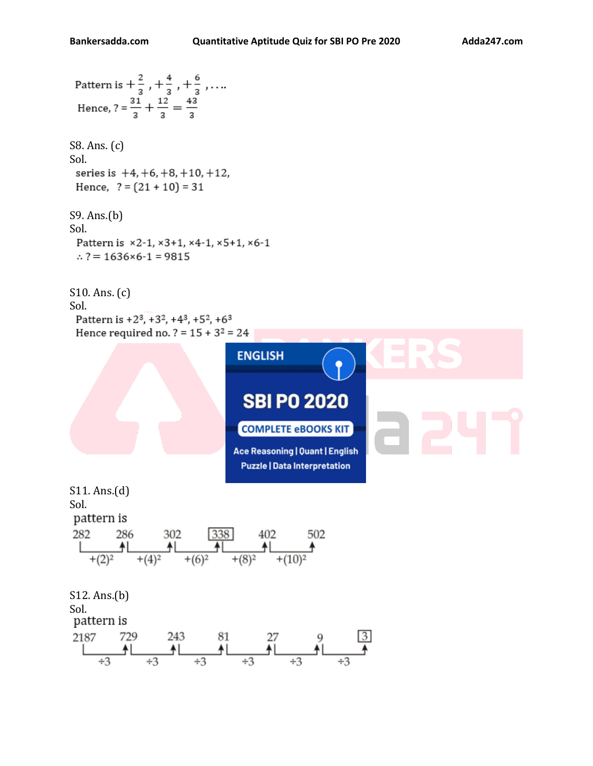